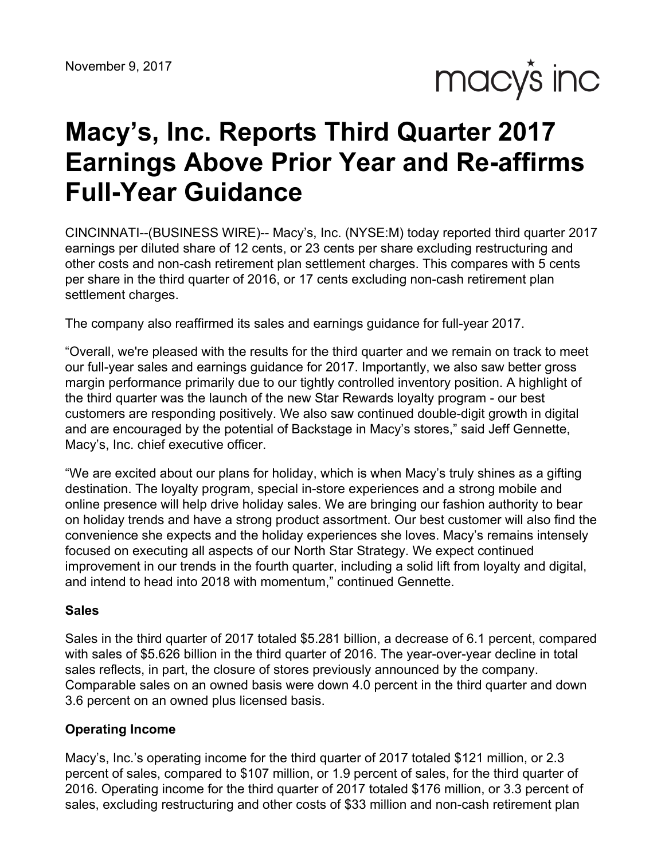macy's inc

# **Macy's, Inc. Reports Third Quarter 2017 Earnings Above Prior Year and Re-affirms Full-Year Guidance**

CINCINNATI--(BUSINESS WIRE)-- Macy's, Inc. (NYSE:M) today reported third quarter 2017 earnings per diluted share of 12 cents, or 23 cents per share excluding restructuring and other costs and non-cash retirement plan settlement charges. This compares with 5 cents per share in the third quarter of 2016, or 17 cents excluding non-cash retirement plan settlement charges.

The company also reaffirmed its sales and earnings guidance for full-year 2017.

"Overall, we're pleased with the results for the third quarter and we remain on track to meet our full-year sales and earnings guidance for 2017. Importantly, we also saw better gross margin performance primarily due to our tightly controlled inventory position. A highlight of the third quarter was the launch of the new Star Rewards loyalty program - our best customers are responding positively. We also saw continued double-digit growth in digital and are encouraged by the potential of Backstage in Macy's stores," said Jeff Gennette, Macy's, Inc. chief executive officer.

"We are excited about our plans for holiday, which is when Macy's truly shines as a gifting destination. The loyalty program, special in-store experiences and a strong mobile and online presence will help drive holiday sales. We are bringing our fashion authority to bear on holiday trends and have a strong product assortment. Our best customer will also find the convenience she expects and the holiday experiences she loves. Macy's remains intensely focused on executing all aspects of our North Star Strategy. We expect continued improvement in our trends in the fourth quarter, including a solid lift from loyalty and digital, and intend to head into 2018 with momentum," continued Gennette.

#### **Sales**

Sales in the third quarter of 2017 totaled \$5.281 billion, a decrease of 6.1 percent, compared with sales of \$5.626 billion in the third quarter of 2016. The year-over-year decline in total sales reflects, in part, the closure of stores previously announced by the company. Comparable sales on an owned basis were down 4.0 percent in the third quarter and down 3.6 percent on an owned plus licensed basis.

#### **Operating Income**

Macy's, Inc.'s operating income for the third quarter of 2017 totaled \$121 million, or 2.3 percent of sales, compared to \$107 million, or 1.9 percent of sales, for the third quarter of 2016. Operating income for the third quarter of 2017 totaled \$176 million, or 3.3 percent of sales, excluding restructuring and other costs of \$33 million and non-cash retirement plan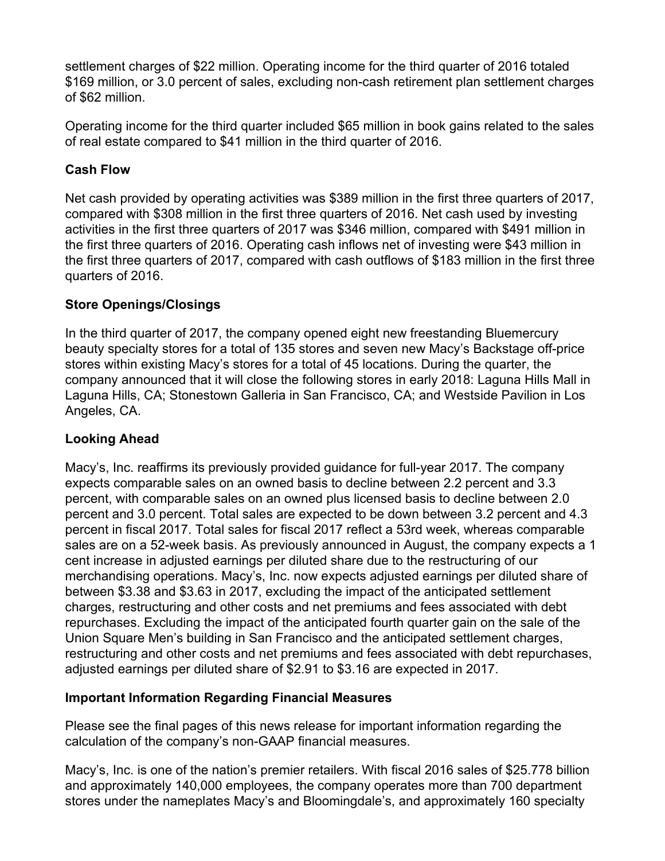settlement charges of \$22 million. Operating income for the third quarter of 2016 totaled \$169 million, or 3.0 percent of sales, excluding non-cash retirement plan settlement charges of \$62 million.

Operating income for the third quarter included \$65 million in book gains related to the sales of real estate compared to \$41 million in the third quarter of 2016.

# **Cash Flow**

Net cash provided by operating activities was \$389 million in the first three quarters of 2017, compared with \$308 million in the first three quarters of 2016. Net cash used by investing activities in the first three quarters of 2017 was \$346 million, compared with \$491 million in the first three quarters of 2016. Operating cash inflows net of investing were \$43 million in the first three quarters of 2017, compared with cash outflows of \$183 million in the first three quarters of 2016.

# **Store Openings/Closings**

In the third quarter of 2017, the company opened eight new freestanding Bluemercury beauty specialty stores for a total of 135 stores and seven new Macy's Backstage off-price stores within existing Macy's stores for a total of 45 locations. During the quarter, the company announced that it will close the following stores in early 2018: Laguna Hills Mall in Laguna Hills, CA; Stonestown Galleria in San Francisco, CA; and Westside Pavilion in Los Angeles, CA.

# **Looking Ahead**

Macy's, Inc. reaffirms its previously provided guidance for full-year 2017. The company expects comparable sales on an owned basis to decline between 2.2 percent and 3.3 percent, with comparable sales on an owned plus licensed basis to decline between 2.0 percent and 3.0 percent. Total sales are expected to be down between 3.2 percent and 4.3 percent in fiscal 2017. Total sales for fiscal 2017 reflect a 53rd week, whereas comparable sales are on a 52-week basis. As previously announced in August, the company expects a 1 cent increase in adjusted earnings per diluted share due to the restructuring of our merchandising operations. Macy's, Inc. now expects adjusted earnings per diluted share of between \$3.38 and \$3.63 in 2017, excluding the impact of the anticipated settlement charges, restructuring and other costs and net premiums and fees associated with debt repurchases. Excluding the impact of the anticipated fourth quarter gain on the sale of the Union Square Men's building in San Francisco and the anticipated settlement charges, restructuring and other costs and net premiums and fees associated with debt repurchases, adjusted earnings per diluted share of \$2.91 to \$3.16 are expected in 2017.

# **Important Information Regarding Financial Measures**

Please see the final pages of this news release for important information regarding the calculation of the company's non-GAAP financial measures.

Macy's, Inc. is one of the nation's premier retailers. With fiscal 2016 sales of \$25.778 billion and approximately 140,000 employees, the company operates more than 700 department stores under the nameplates Macy's and Bloomingdale's, and approximately 160 specialty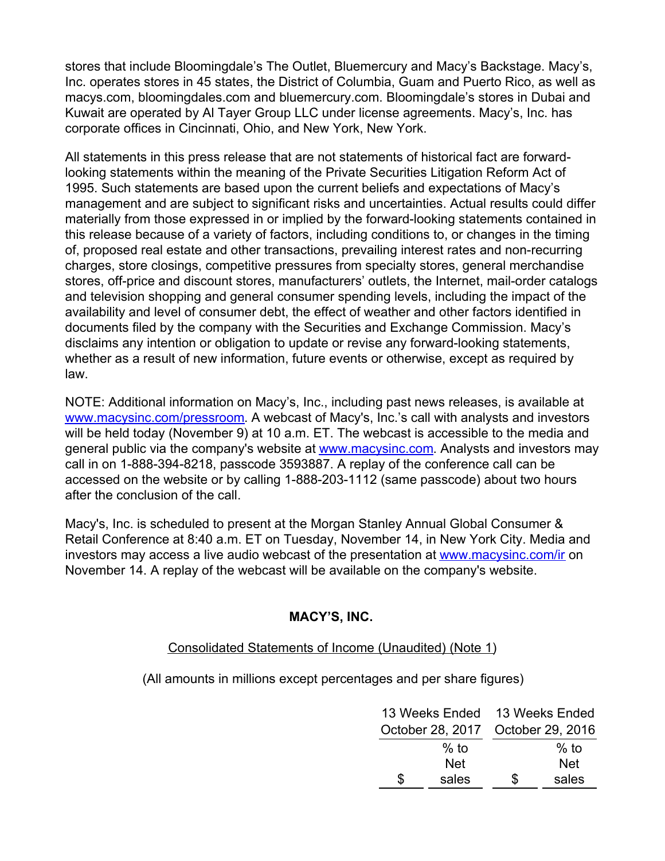stores that include Bloomingdale's The Outlet, Bluemercury and Macy's Backstage. Macy's, Inc. operates stores in 45 states, the District of Columbia, Guam and Puerto Rico, as well as macys.com, bloomingdales.com and bluemercury.com. Bloomingdale's stores in Dubai and Kuwait are operated by Al Tayer Group LLC under license agreements. Macy's, Inc. has corporate offices in Cincinnati, Ohio, and New York, New York.

All statements in this press release that are not statements of historical fact are forwardlooking statements within the meaning of the Private Securities Litigation Reform Act of 1995. Such statements are based upon the current beliefs and expectations of Macy's management and are subject to significant risks and uncertainties. Actual results could differ materially from those expressed in or implied by the forward-looking statements contained in this release because of a variety of factors, including conditions to, or changes in the timing of, proposed real estate and other transactions, prevailing interest rates and non-recurring charges, store closings, competitive pressures from specialty stores, general merchandise stores, off-price and discount stores, manufacturers' outlets, the Internet, mail-order catalogs and television shopping and general consumer spending levels, including the impact of the availability and level of consumer debt, the effect of weather and other factors identified in documents filed by the company with the Securities and Exchange Commission. Macy's disclaims any intention or obligation to update or revise any forward-looking statements, whether as a result of new information, future events or otherwise, except as required by law.

NOTE: Additional information on Macy's, Inc., including past news releases, is available at [www.macysinc.com/pressroom](http://www.macysinc.com/pressroom). A webcast of Macy's, Inc.'s call with analysts and investors will be held today (November 9) at 10 a.m. ET. The webcast is accessible to the media and general public via the company's website at [www.macysinc.com](http://www.macysinc.com). Analysts and investors may call in on 1-888-394-8218, passcode 3593887. A replay of the conference call can be accessed on the website or by calling 1-888-203-1112 (same passcode) about two hours after the conclusion of the call.

Macy's, Inc. is scheduled to present at the Morgan Stanley Annual Global Consumer & Retail Conference at 8:40 a.m. ET on Tuesday, November 14, in New York City. Media and investors may access a live audio webcast of the presentation at [www.macysinc.com/ir](http://www.macysinc.com/ir) on November 14. A replay of the webcast will be available on the company's website.

#### **MACY'S, INC.**

# Consolidated Statements of Income (Unaudited) (Note 1)

(All amounts in millions except percentages and per share figures)

|    | 13 Weeks Ended   |     | 13 Weeks Ended   |
|----|------------------|-----|------------------|
|    | October 28, 2017 |     | October 29, 2016 |
|    | $%$ to           |     | $%$ to           |
|    | <b>Net</b>       |     | <b>Net</b>       |
| Ж. | sales            | \$. | sales            |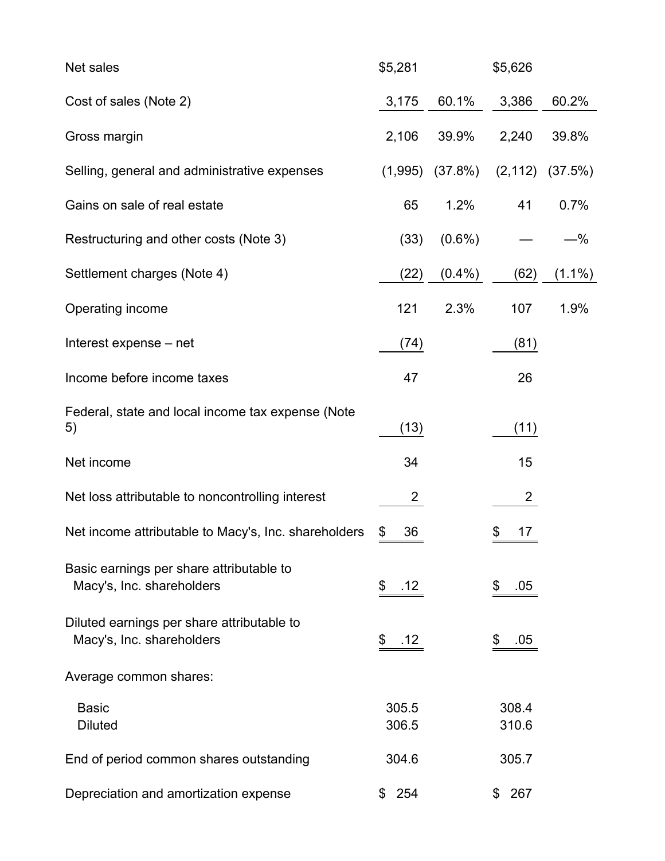| Net sales                                                               | \$5,281        |           | \$5,626        |           |
|-------------------------------------------------------------------------|----------------|-----------|----------------|-----------|
| Cost of sales (Note 2)                                                  | 3,175          | 60.1%     | 3,386          | 60.2%     |
| Gross margin                                                            | 2,106          | 39.9%     | 2,240          | 39.8%     |
| Selling, general and administrative expenses                            | (1,995)        | (37.8%)   | (2, 112)       | (37.5%)   |
| Gains on sale of real estate                                            | 65             | 1.2%      | 41             | 0.7%      |
| Restructuring and other costs (Note 3)                                  | (33)           | $(0.6\%)$ |                | $-\%$     |
| Settlement charges (Note 4)                                             | (22)           | $(0.4\%)$ | (62)           | $(1.1\%)$ |
| Operating income                                                        | 121            | 2.3%      | 107            | 1.9%      |
| Interest expense - net                                                  | (74)           |           | (81)           |           |
| Income before income taxes                                              | 47             |           | 26             |           |
| Federal, state and local income tax expense (Note<br>5)                 | (13)           |           | (11)           |           |
| Net income                                                              | 34             |           | 15             |           |
| Net loss attributable to noncontrolling interest                        | $\overline{2}$ |           | $\overline{2}$ |           |
| Net income attributable to Macy's, Inc. shareholders                    | \$<br>36       |           | 17<br>\$       |           |
| Basic earnings per share attributable to<br>Macy's, Inc. shareholders   | \$<br>.12      |           | \$<br>.05      |           |
| Diluted earnings per share attributable to<br>Macy's, Inc. shareholders | \$<br>.12      |           | \$<br>.05      |           |
| Average common shares:                                                  |                |           |                |           |
| <b>Basic</b><br><b>Diluted</b>                                          | 305.5<br>306.5 |           | 308.4<br>310.6 |           |
| End of period common shares outstanding                                 | 304.6          |           | 305.7          |           |
| Depreciation and amortization expense                                   | 254<br>\$      |           | 267<br>\$      |           |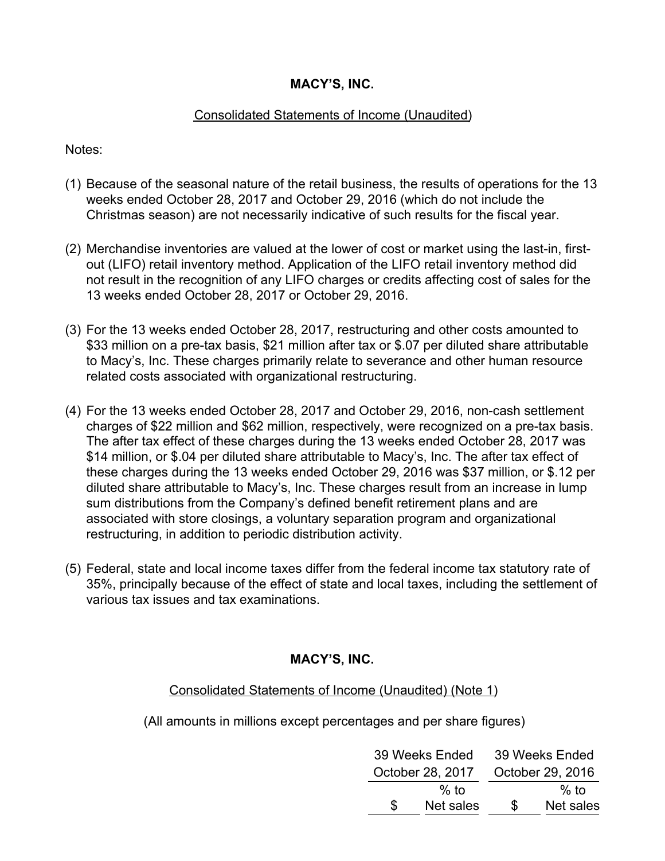# **MACY'S, INC.**

#### Consolidated Statements of Income (Unaudited)

Notes:

- (1) Because of the seasonal nature of the retail business, the results of operations for the 13 weeks ended October 28, 2017 and October 29, 2016 (which do not include the Christmas season) are not necessarily indicative of such results for the fiscal year.
- (2) Merchandise inventories are valued at the lower of cost or market using the last-in, firstout (LIFO) retail inventory method. Application of the LIFO retail inventory method did not result in the recognition of any LIFO charges or credits affecting cost of sales for the 13 weeks ended October 28, 2017 or October 29, 2016.
- (3) For the 13 weeks ended October 28, 2017, restructuring and other costs amounted to \$33 million on a pre-tax basis, \$21 million after tax or \$.07 per diluted share attributable to Macy's, Inc. These charges primarily relate to severance and other human resource related costs associated with organizational restructuring.
- (4) For the 13 weeks ended October 28, 2017 and October 29, 2016, non-cash settlement charges of \$22 million and \$62 million, respectively, were recognized on a pre-tax basis. The after tax effect of these charges during the 13 weeks ended October 28, 2017 was \$14 million, or \$.04 per diluted share attributable to Macy's, Inc. The after tax effect of these charges during the 13 weeks ended October 29, 2016 was \$37 million, or \$.12 per diluted share attributable to Macy's, Inc. These charges result from an increase in lump sum distributions from the Company's defined benefit retirement plans and are associated with store closings, a voluntary separation program and organizational restructuring, in addition to periodic distribution activity.
- (5) Federal, state and local income taxes differ from the federal income tax statutory rate of 35%, principally because of the effect of state and local taxes, including the settlement of various tax issues and tax examinations.

#### **MACY'S, INC.**

#### Consolidated Statements of Income (Unaudited) (Note 1)

(All amounts in millions except percentages and per share figures)

|     | 39 Weeks Ended   | 39 Weeks Ended   |
|-----|------------------|------------------|
|     | October 28, 2017 | October 29, 2016 |
|     | $%$ to           | $%$ to           |
| \$. | Net sales        | \$<br>Net sales  |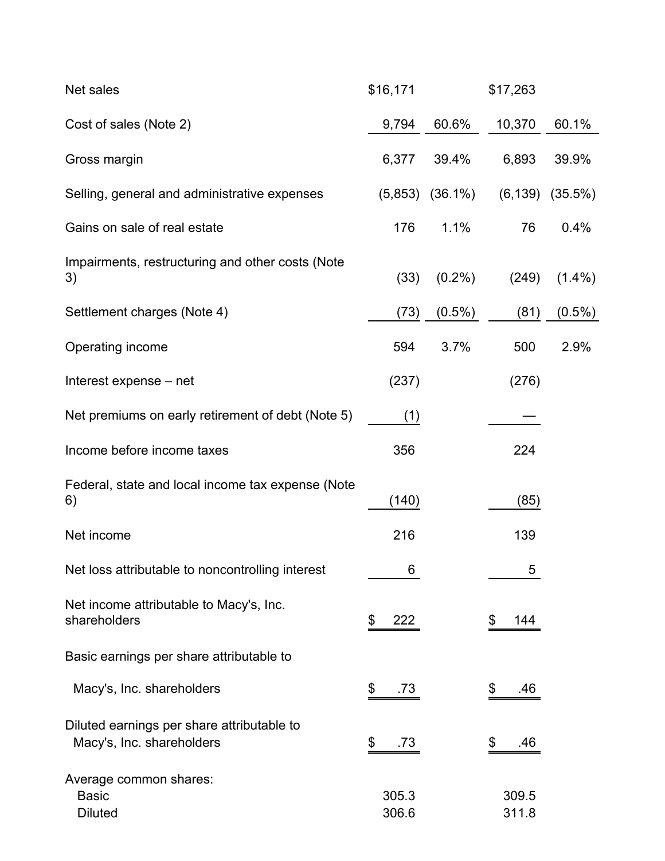| Net sales                                                               | \$16,171       |            | \$17,263       |            |
|-------------------------------------------------------------------------|----------------|------------|----------------|------------|
| Cost of sales (Note 2)                                                  | 9,794          | 60.6%      | 10,370         | 60.1%      |
| Gross margin                                                            | 6,377          | 39.4%      | 6,893          | 39.9%      |
| Selling, general and administrative expenses                            | (5,853)        | $(36.1\%)$ | (6, 139)       | $(35.5\%)$ |
| Gains on sale of real estate                                            | 176            | 1.1%       | 76             | 0.4%       |
| Impairments, restructuring and other costs (Note<br>3)                  | (33)           | $(0.2\%)$  | (249)          | $(1.4\%)$  |
| Settlement charges (Note 4)                                             | (73)           | $(0.5\%)$  | (81)           | $(0.5\%)$  |
| Operating income                                                        | 594            | 3.7%       | 500            | 2.9%       |
| Interest expense - net                                                  | (237)          |            | (276)          |            |
| Net premiums on early retirement of debt (Note 5)                       | (1)            |            |                |            |
| Income before income taxes                                              | 356            |            | 224            |            |
| Federal, state and local income tax expense (Note<br>6)                 | (140)          |            | (85)           |            |
| Net income                                                              | 216            |            | 139            |            |
| Net loss attributable to noncontrolling interest                        | O              |            | 5              |            |
| Net income attributable to Macy's, Inc.<br>shareholders                 | \$<br>222      |            | 144            |            |
| Basic earnings per share attributable to                                |                |            |                |            |
| Macy's, Inc. shareholders                                               | \$<br>.73      |            | .46<br>\$      |            |
| Diluted earnings per share attributable to<br>Macy's, Inc. shareholders | \$<br>.73      |            | \$<br>.46      |            |
| Average common shares:<br><b>Basic</b><br><b>Diluted</b>                | 305.3<br>306.6 |            | 309.5<br>311.8 |            |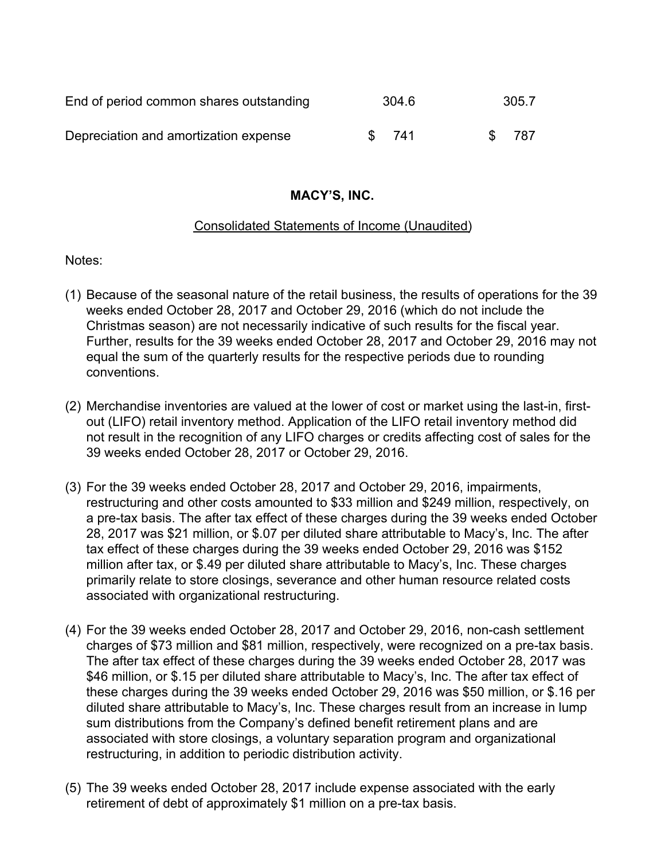| End of period common shares outstanding | 304.6 | 305.7                |
|-----------------------------------------|-------|----------------------|
| Depreciation and amortization expense   | \$741 | $\mathcal{S}$<br>787 |

# **MACY'S, INC.**

# Consolidated Statements of Income (Unaudited)

Notes:

- (1) Because of the seasonal nature of the retail business, the results of operations for the 39 weeks ended October 28, 2017 and October 29, 2016 (which do not include the Christmas season) are not necessarily indicative of such results for the fiscal year. Further, results for the 39 weeks ended October 28, 2017 and October 29, 2016 may not equal the sum of the quarterly results for the respective periods due to rounding conventions.
- (2) Merchandise inventories are valued at the lower of cost or market using the last-in, firstout (LIFO) retail inventory method. Application of the LIFO retail inventory method did not result in the recognition of any LIFO charges or credits affecting cost of sales for the 39 weeks ended October 28, 2017 or October 29, 2016.
- (3) For the 39 weeks ended October 28, 2017 and October 29, 2016, impairments, restructuring and other costs amounted to \$33 million and \$249 million, respectively, on a pre-tax basis. The after tax effect of these charges during the 39 weeks ended October 28, 2017 was \$21 million, or \$.07 per diluted share attributable to Macy's, Inc. The after tax effect of these charges during the 39 weeks ended October 29, 2016 was \$152 million after tax, or \$.49 per diluted share attributable to Macy's, Inc. These charges primarily relate to store closings, severance and other human resource related costs associated with organizational restructuring.
- (4) For the 39 weeks ended October 28, 2017 and October 29, 2016, non-cash settlement charges of \$73 million and \$81 million, respectively, were recognized on a pre-tax basis. The after tax effect of these charges during the 39 weeks ended October 28, 2017 was \$46 million, or \$.15 per diluted share attributable to Macy's, Inc. The after tax effect of these charges during the 39 weeks ended October 29, 2016 was \$50 million, or \$.16 per diluted share attributable to Macy's, Inc. These charges result from an increase in lump sum distributions from the Company's defined benefit retirement plans and are associated with store closings, a voluntary separation program and organizational restructuring, in addition to periodic distribution activity.
- (5) The 39 weeks ended October 28, 2017 include expense associated with the early retirement of debt of approximately \$1 million on a pre-tax basis.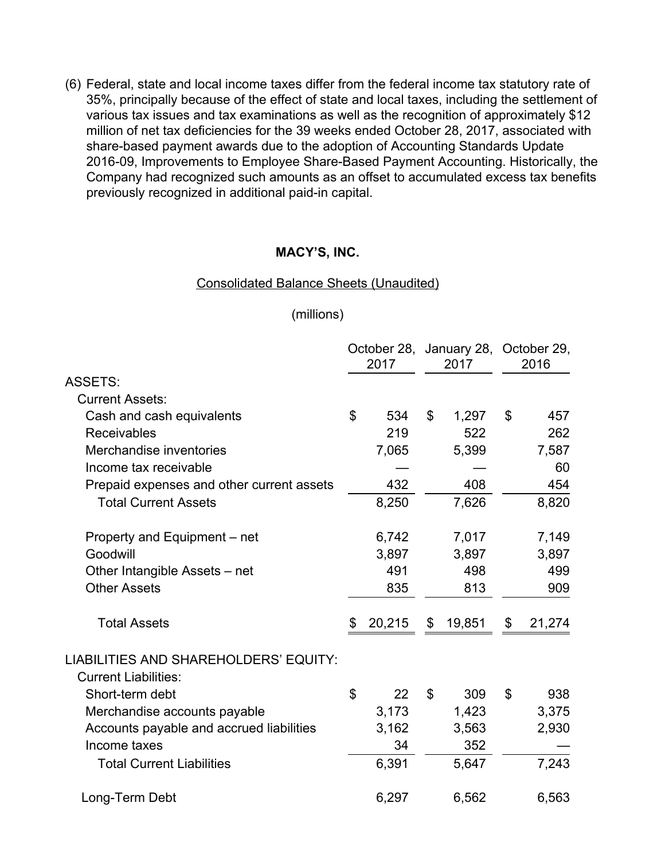(6) Federal, state and local income taxes differ from the federal income tax statutory rate of 35%, principally because of the effect of state and local taxes, including the settlement of various tax issues and tax examinations as well as the recognition of approximately \$12 million of net tax deficiencies for the 39 weeks ended October 28, 2017, associated with share-based payment awards due to the adoption of Accounting Standards Update 2016-09, Improvements to Employee Share-Based Payment Accounting. Historically, the Company had recognized such amounts as an offset to accumulated excess tax benefits previously recognized in additional paid-in capital.

#### **MACY'S, INC.**

#### Consolidated Balance Sheets (Unaudited)

#### (millions)

|                                                                      |                | 2017   | October 28, January 28, October 29,<br>2017 |        |                | 2016   |  |
|----------------------------------------------------------------------|----------------|--------|---------------------------------------------|--------|----------------|--------|--|
| <b>ASSETS:</b>                                                       |                |        |                                             |        |                |        |  |
| <b>Current Assets:</b>                                               |                |        |                                             |        |                |        |  |
| Cash and cash equivalents                                            | \$             | 534    | \$                                          | 1,297  | \$             | 457    |  |
| <b>Receivables</b>                                                   |                | 219    |                                             | 522    |                | 262    |  |
| Merchandise inventories                                              |                | 7,065  |                                             | 5,399  |                | 7,587  |  |
| Income tax receivable                                                |                |        |                                             |        |                | 60     |  |
| Prepaid expenses and other current assets                            |                | 432    |                                             | 408    |                | 454    |  |
| <b>Total Current Assets</b>                                          |                | 8,250  |                                             | 7,626  |                | 8,820  |  |
| Property and Equipment – net                                         |                | 6,742  |                                             | 7,017  |                | 7,149  |  |
| Goodwill                                                             |                | 3,897  |                                             | 3,897  |                | 3,897  |  |
| Other Intangible Assets – net                                        |                | 491    |                                             | 498    |                | 499    |  |
| <b>Other Assets</b>                                                  |                | 835    |                                             | 813    |                | 909    |  |
| <b>Total Assets</b>                                                  | \$             | 20,215 | \$                                          | 19,851 | \$             | 21,274 |  |
| LIABILITIES AND SHAREHOLDERS' EQUITY:<br><b>Current Liabilities:</b> |                |        |                                             |        |                |        |  |
| Short-term debt                                                      | $\mathfrak{L}$ | 22     | $\mathfrak{L}$                              | 309    | $\mathfrak{L}$ | 938    |  |
| Merchandise accounts payable                                         |                | 3,173  |                                             | 1,423  |                | 3,375  |  |
| Accounts payable and accrued liabilities                             |                | 3,162  |                                             | 3,563  |                | 2,930  |  |
| Income taxes                                                         |                | 34     |                                             | 352    |                |        |  |
| <b>Total Current Liabilities</b>                                     |                | 6,391  |                                             | 5,647  |                | 7,243  |  |
| Long-Term Debt                                                       |                | 6,297  |                                             | 6,562  |                | 6,563  |  |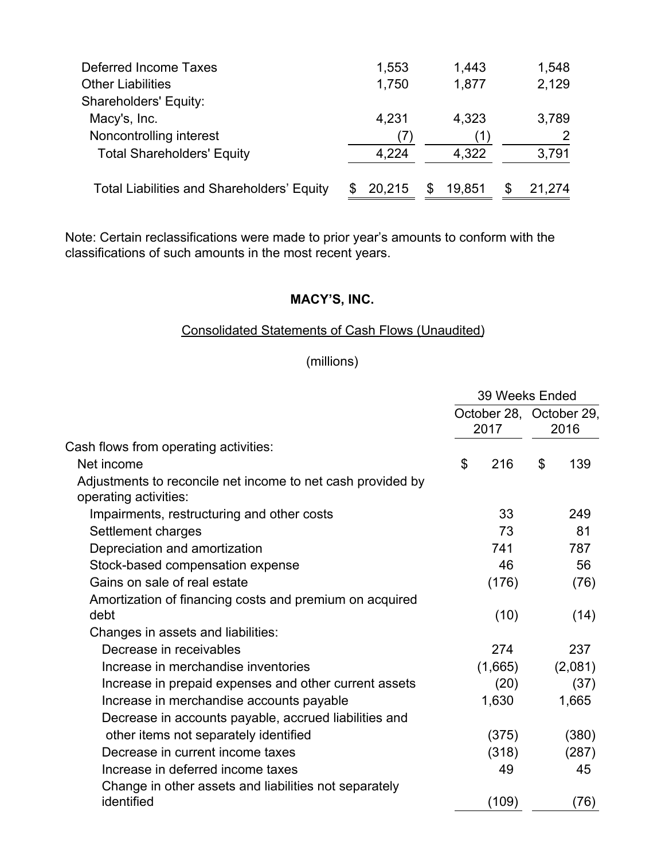| Deferred Income Taxes                             | 1,553  | 1,443        | 1,548  |
|---------------------------------------------------|--------|--------------|--------|
| <b>Other Liabilities</b>                          | 1,750  | 1,877        | 2,129  |
| <b>Shareholders' Equity:</b>                      |        |              |        |
| Macy's, Inc.                                      | 4,231  | 4,323        | 3,789  |
| Noncontrolling interest                           | (1)    | (1)          | 2      |
| <b>Total Shareholders' Equity</b>                 | 4,224  | 4,322        | 3,791  |
| <b>Total Liabilities and Shareholders' Equity</b> | 20.215 | 19,851<br>S. | 21.274 |

Note: Certain reclassifications were made to prior year's amounts to conform with the classifications of such amounts in the most recent years.

# **MACY'S, INC.**

# Consolidated Statements of Cash Flows (Unaudited)

# (millions)

|                                                                                      | 39 Weeks Ended |                                 |    |         |  |  |
|--------------------------------------------------------------------------------------|----------------|---------------------------------|----|---------|--|--|
|                                                                                      |                | October 28, October 29,<br>2017 |    | 2016    |  |  |
| Cash flows from operating activities:                                                |                |                                 |    |         |  |  |
| Net income                                                                           | \$             | 216                             | \$ | 139     |  |  |
| Adjustments to reconcile net income to net cash provided by<br>operating activities: |                |                                 |    |         |  |  |
| Impairments, restructuring and other costs                                           |                | 33                              |    | 249     |  |  |
| Settlement charges                                                                   |                | 73                              |    | 81      |  |  |
| Depreciation and amortization                                                        |                | 741                             |    | 787     |  |  |
| Stock-based compensation expense                                                     |                | 46                              |    | 56      |  |  |
| Gains on sale of real estate                                                         |                | (176)                           |    | (76)    |  |  |
| Amortization of financing costs and premium on acquired                              |                |                                 |    |         |  |  |
| debt                                                                                 |                | (10)                            |    | (14)    |  |  |
| Changes in assets and liabilities:                                                   |                |                                 |    |         |  |  |
| Decrease in receivables                                                              |                | 274                             |    | 237     |  |  |
| Increase in merchandise inventories                                                  |                | (1,665)                         |    | (2,081) |  |  |
| Increase in prepaid expenses and other current assets                                |                | (20)                            |    | (37)    |  |  |
| Increase in merchandise accounts payable                                             |                | 1,630                           |    | 1,665   |  |  |
| Decrease in accounts payable, accrued liabilities and                                |                |                                 |    |         |  |  |
| other items not separately identified                                                |                | (375)                           |    | (380)   |  |  |
| Decrease in current income taxes                                                     |                | (318)                           |    | (287)   |  |  |
| Increase in deferred income taxes                                                    |                | 49                              |    | 45      |  |  |
| Change in other assets and liabilities not separately                                |                |                                 |    |         |  |  |
| identified                                                                           |                | (109)                           |    | (76)    |  |  |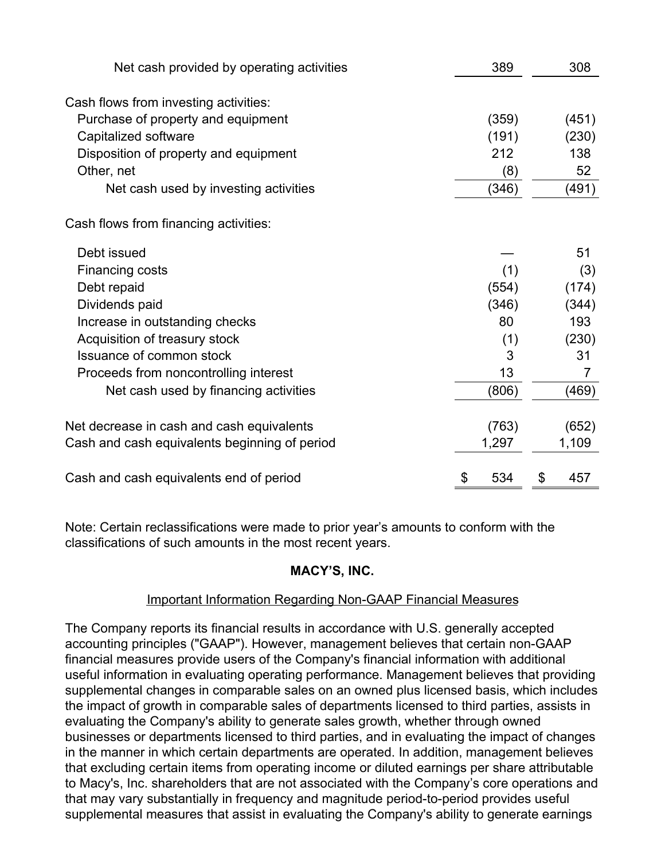| Net cash provided by operating activities     | 389       | 308       |
|-----------------------------------------------|-----------|-----------|
| Cash flows from investing activities:         |           |           |
| Purchase of property and equipment            | (359)     | (451)     |
| Capitalized software                          | (191)     | (230)     |
| Disposition of property and equipment         | 212       | 138       |
| Other, net                                    | (8)       | 52        |
| Net cash used by investing activities         | (346)     | (491)     |
| Cash flows from financing activities:         |           |           |
| Debt issued                                   |           | 51        |
| Financing costs                               | (1)       | (3)       |
| Debt repaid                                   | (554)     | (174)     |
| Dividends paid                                | (346)     | (344)     |
| Increase in outstanding checks                | 80        | 193       |
| Acquisition of treasury stock                 | (1)       | (230)     |
| Issuance of common stock                      | 3         | 31        |
| Proceeds from noncontrolling interest         | 13        | 7         |
| Net cash used by financing activities         | (806)     | (469)     |
| Net decrease in cash and cash equivalents     | (763)     | (652)     |
| Cash and cash equivalents beginning of period | 1,297     | 1,109     |
| Cash and cash equivalents end of period       | \$<br>534 | \$<br>457 |

Note: Certain reclassifications were made to prior year's amounts to conform with the classifications of such amounts in the most recent years.

#### **MACY'S, INC.**

#### Important Information Regarding Non-GAAP Financial Measures

The Company reports its financial results in accordance with U.S. generally accepted accounting principles ("GAAP"). However, management believes that certain non-GAAP financial measures provide users of the Company's financial information with additional useful information in evaluating operating performance. Management believes that providing supplemental changes in comparable sales on an owned plus licensed basis, which includes the impact of growth in comparable sales of departments licensed to third parties, assists in evaluating the Company's ability to generate sales growth, whether through owned businesses or departments licensed to third parties, and in evaluating the impact of changes in the manner in which certain departments are operated. In addition, management believes that excluding certain items from operating income or diluted earnings per share attributable to Macy's, Inc. shareholders that are not associated with the Company's core operations and that may vary substantially in frequency and magnitude period-to-period provides useful supplemental measures that assist in evaluating the Company's ability to generate earnings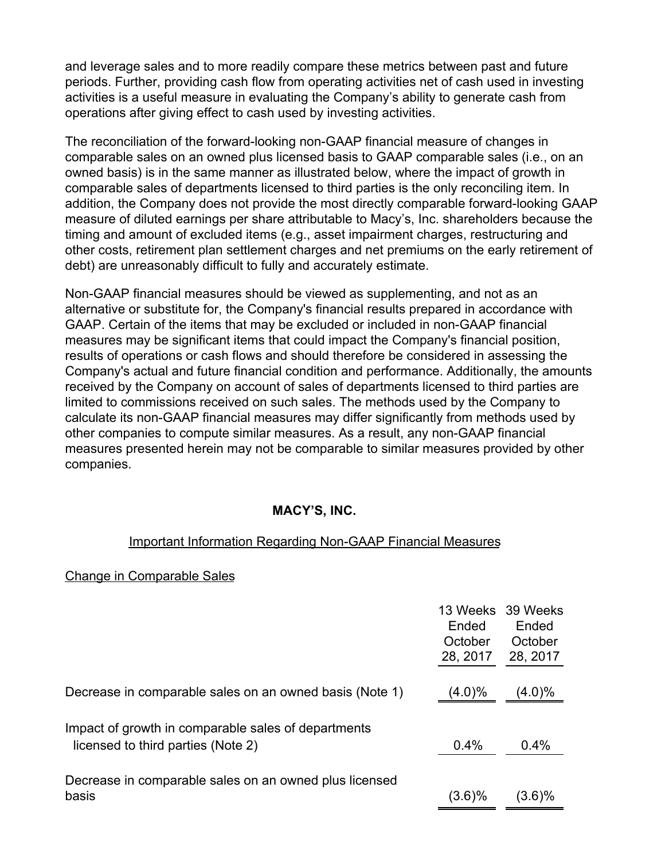and leverage sales and to more readily compare these metrics between past and future periods. Further, providing cash flow from operating activities net of cash used in investing activities is a useful measure in evaluating the Company's ability to generate cash from operations after giving effect to cash used by investing activities.

The reconciliation of the forward-looking non-GAAP financial measure of changes in comparable sales on an owned plus licensed basis to GAAP comparable sales (i.e., on an owned basis) is in the same manner as illustrated below, where the impact of growth in comparable sales of departments licensed to third parties is the only reconciling item. In addition, the Company does not provide the most directly comparable forward-looking GAAP measure of diluted earnings per share attributable to Macy's, Inc. shareholders because the timing and amount of excluded items (e.g., asset impairment charges, restructuring and other costs, retirement plan settlement charges and net premiums on the early retirement of debt) are unreasonably difficult to fully and accurately estimate.

Non-GAAP financial measures should be viewed as supplementing, and not as an alternative or substitute for, the Company's financial results prepared in accordance with GAAP. Certain of the items that may be excluded or included in non-GAAP financial measures may be significant items that could impact the Company's financial position, results of operations or cash flows and should therefore be considered in assessing the Company's actual and future financial condition and performance. Additionally, the amounts received by the Company on account of sales of departments licensed to third parties are limited to commissions received on such sales. The methods used by the Company to calculate its non-GAAP financial measures may differ significantly from methods used by other companies to compute similar measures. As a result, any non-GAAP financial measures presented herein may not be comparable to similar measures provided by other companies.

# **MACY'S, INC.**

#### Important Information Regarding Non-GAAP Financial Measures

#### Change in Comparable Sales

|                                                                                           | Ended<br>October<br>28, 2017 | 13 Weeks 39 Weeks<br>Ended<br>October<br>28, 2017 |
|-------------------------------------------------------------------------------------------|------------------------------|---------------------------------------------------|
| Decrease in comparable sales on an owned basis (Note 1)                                   | (4.0)%                       | (4.0)%                                            |
| Impact of growth in comparable sales of departments<br>licensed to third parties (Note 2) | 0.4%                         | 0.4%                                              |
| Decrease in comparable sales on an owned plus licensed<br>basis                           | (3.6)%                       | (3.6)%                                            |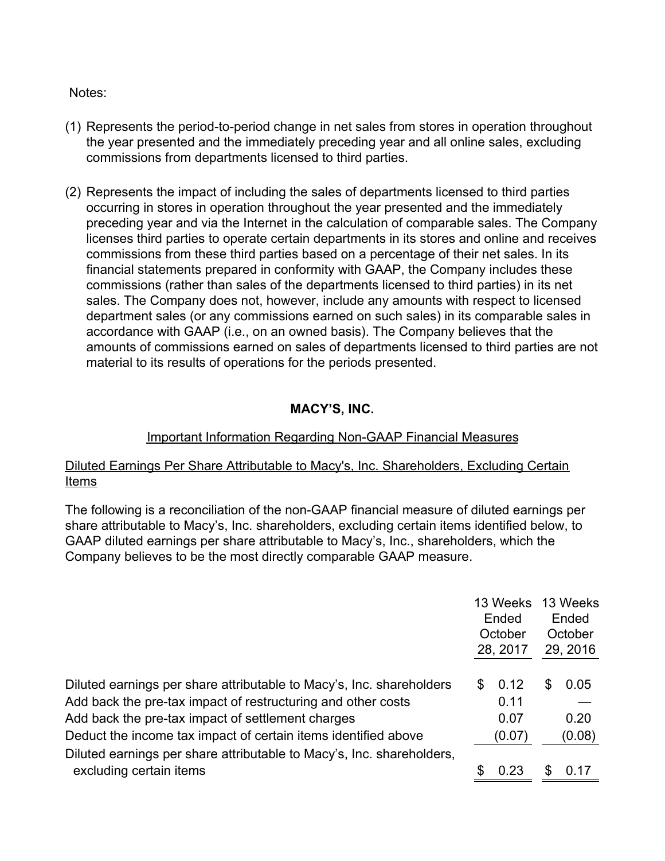# Notes:

- (1) Represents the period-to-period change in net sales from stores in operation throughout the year presented and the immediately preceding year and all online sales, excluding commissions from departments licensed to third parties.
- (2) Represents the impact of including the sales of departments licensed to third parties occurring in stores in operation throughout the year presented and the immediately preceding year and via the Internet in the calculation of comparable sales. The Company licenses third parties to operate certain departments in its stores and online and receives commissions from these third parties based on a percentage of their net sales. In its financial statements prepared in conformity with GAAP, the Company includes these commissions (rather than sales of the departments licensed to third parties) in its net sales. The Company does not, however, include any amounts with respect to licensed department sales (or any commissions earned on such sales) in its comparable sales in accordance with GAAP (i.e., on an owned basis). The Company believes that the amounts of commissions earned on sales of departments licensed to third parties are not material to its results of operations for the periods presented.

# **MACY'S, INC.**

# Important Information Regarding Non-GAAP Financial Measures

#### Diluted Earnings Per Share Attributable to Macy's, Inc. Shareholders, Excluding Certain Items

The following is a reconciliation of the non-GAAP financial measure of diluted earnings per share attributable to Macy's, Inc. shareholders, excluding certain items identified below, to GAAP diluted earnings per share attributable to Macy's, Inc., shareholders, which the Company believes to be the most directly comparable GAAP measure.

|                                                                       |     | 13 Weeks<br>Ended<br>October<br>28, 2017 |    | 13 Weeks<br>Ended<br>October<br>29, 2016 |  |
|-----------------------------------------------------------------------|-----|------------------------------------------|----|------------------------------------------|--|
| Diluted earnings per share attributable to Macy's, Inc. shareholders  | \$. | 0.12                                     | S  | 0.05                                     |  |
| Add back the pre-tax impact of restructuring and other costs          |     | 0.11                                     |    |                                          |  |
| Add back the pre-tax impact of settlement charges                     |     | 0.07                                     |    | 0.20                                     |  |
| Deduct the income tax impact of certain items identified above        |     | (0.07)                                   |    | (0.08)                                   |  |
| Diluted earnings per share attributable to Macy's, Inc. shareholders, |     |                                          |    |                                          |  |
| excluding certain items                                               |     | 0.23                                     | \$ | 0.17                                     |  |